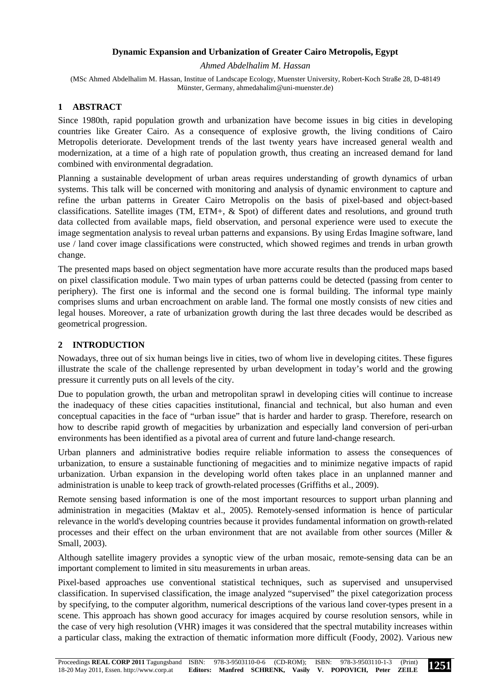### **Dynamic Expansion and Urbanization of Greater Cairo Metropolis, Egypt**

*Ahmed Abdelhalim M. Hassan* 

(MSc Ahmed Abdelhalim M. Hassan, Institue of Landscape Ecology, Muenster University, Robert-Koch Straße 28, D-48149 Münster, Germany, ahmedahalim@uni-muenster.de)

### **1 ABSTRACT**

Since 1980th, rapid population growth and urbanization have become issues in big cities in developing countries like Greater Cairo. As a consequence of explosive growth, the living conditions of Cairo Metropolis deteriorate. Development trends of the last twenty years have increased general wealth and modernization, at a time of a high rate of population growth, thus creating an increased demand for land combined with environmental degradation.

Planning a sustainable development of urban areas requires understanding of growth dynamics of urban systems. This talk will be concerned with monitoring and analysis of dynamic environment to capture and refine the urban patterns in Greater Cairo Metropolis on the basis of pixel-based and object-based classifications. Satellite images (TM, ETM+, & Spot) of different dates and resolutions, and ground truth data collected from available maps, field observation, and personal experience were used to execute the image segmentation analysis to reveal urban patterns and expansions. By using Erdas Imagine software, land use / land cover image classifications were constructed, which showed regimes and trends in urban growth change.

The presented maps based on object segmentation have more accurate results than the produced maps based on pixel classification module. Two main types of urban patterns could be detected (passing from center to periphery). The first one is informal and the second one is formal building. The informal type mainly comprises slums and urban encroachment on arable land. The formal one mostly consists of new cities and legal houses. Moreover, a rate of urbanization growth during the last three decades would be described as geometrical progression.

### **2 INTRODUCTION**

Nowadays, three out of six human beings live in cities, two of whom live in developing citites. These figures illustrate the scale of the challenge represented by urban development in today's world and the growing pressure it currently puts on all levels of the city.

Due to population growth, the urban and metropolitan sprawl in developing cities will continue to increase the inadequacy of these cities capacities institutional, financial and technical, but also human and even conceptual capacities in the face of "urban issue" that is harder and harder to grasp. Therefore, research on how to describe rapid growth of megacities by urbanization and especially land conversion of peri-urban environments has been identified as a pivotal area of current and future land-change research.

Urban planners and administrative bodies require reliable information to assess the consequences of urbanization, to ensure a sustainable functioning of megacities and to minimize negative impacts of rapid urbanization. Urban expansion in the developing world often takes place in an unplanned manner and administration is unable to keep track of growth-related processes (Griffiths et al., 2009).

Remote sensing based information is one of the most important resources to support urban planning and administration in megacities (Maktav et al., 2005). Remotely-sensed information is hence of particular relevance in the world's developing countries because it provides fundamental information on growth-related processes and their effect on the urban environment that are not available from other sources (Miller & Small, 2003).

Although satellite imagery provides a synoptic view of the urban mosaic, remote-sensing data can be an important complement to limited in situ measurements in urban areas.

Pixel-based approaches use conventional statistical techniques, such as supervised and unsupervised classification. In supervised classification, the image analyzed "supervised" the pixel categorization process by specifying, to the computer algorithm, numerical descriptions of the various land cover-types present in a scene. This approach has shown good accuracy for images acquired by course resolution sensors, while in the case of very high resolution (VHR) images it was considered that the spectral mutability increases within a particular class, making the extraction of thematic information more difficult (Foody, 2002). Various new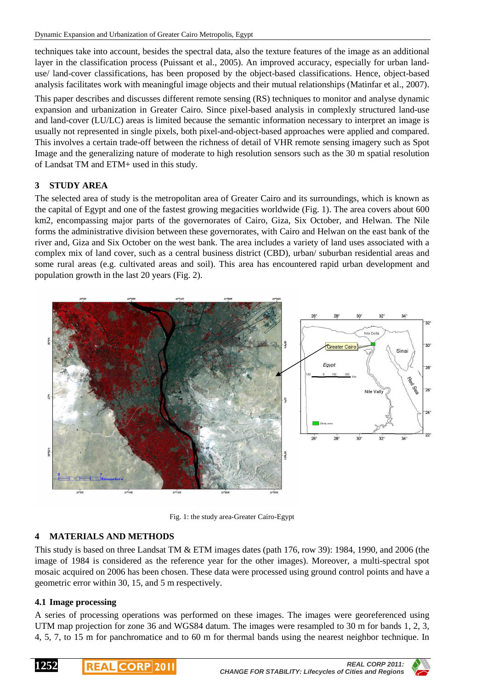techniques take into account, besides the spectral data, also the texture features of the image as an additional layer in the classification process (Puissant et al., 2005). An improved accuracy, especially for urban landuse/ land-cover classifications, has been proposed by the object-based classifications. Hence, object-based analysis facilitates work with meaningful image objects and their mutual relationships (Matinfar et al., 2007).

This paper describes and discusses different remote sensing (RS) techniques to monitor and analyse dynamic expansion and urbanization in Greater Cairo. Since pixel-based analysis in complexly structured land-use and land-cover (LU/LC) areas is limited because the semantic information necessary to interpret an image is usually not represented in single pixels, both pixel-and-object-based approaches were applied and compared. This involves a certain trade-off between the richness of detail of VHR remote sensing imagery such as Spot Image and the generalizing nature of moderate to high resolution sensors such as the 30 m spatial resolution of Landsat TM and ETM+ used in this study.

## **3 STUDY AREA**

The selected area of study is the metropolitan area of Greater Cairo and its surroundings, which is known as the capital of Egypt and one of the fastest growing megacities worldwide (Fig. 1). The area covers about 600 km2, encompassing major parts of the governorates of Cairo, Giza, Six October, and Helwan. The Nile forms the administrative division between these governorates, with Cairo and Helwan on the east bank of the river and, Giza and Six October on the west bank. The area includes a variety of land uses associated with a complex mix of land cover, such as a central business district (CBD), urban/ suburban residential areas and some rural areas (e.g. cultivated areas and soil). This area has encountered rapid urban development and population growth in the last 20 years (Fig. 2).



Fig. 1: the study area-Greater Cairo-Egypt

### **4 MATERIALS AND METHODS**

This study is based on three Landsat TM & ETM images dates (path 176, row 39): 1984, 1990, and 2006 (the image of 1984 is considered as the reference year for the other images). Moreover, a multi-spectral spot mosaic acquired on 2006 has been chosen. These data were processed using ground control points and have a geometric error within 30, 15, and 5 m respectively.

### **4.1 Image processing**

A series of processing operations was performed on these images. The images were georeferenced using UTM map projection for zone 36 and WGS84 datum. The images were resampled to 30 m for bands 1, 2, 3, 4, 5, 7, to 15 m for panchromatice and to 60 m for thermal bands using the nearest neighbor technique. In

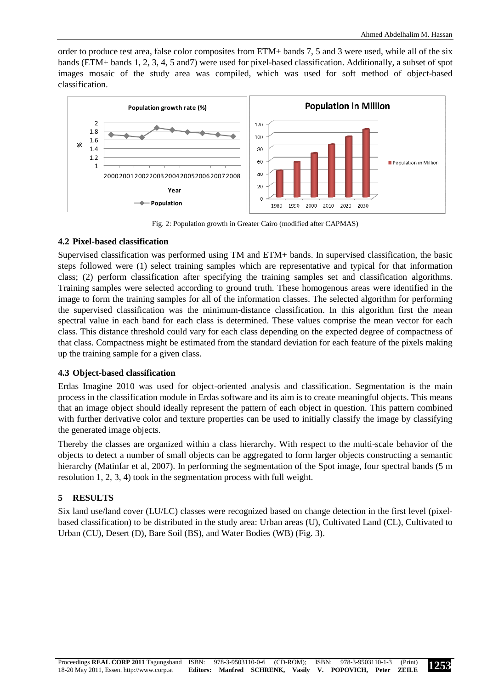order to produce test area, false color composites from ETM+ bands 7, 5 and 3 were used, while all of the six bands (ETM+ bands 1, 2, 3, 4, 5 and7) were used for pixel-based classification. Additionally, a subset of spot images mosaic of the study area was compiled, which was used for soft method of object-based classification.



Fig. 2: Population growth in Greater Cairo (modified after CAPMAS)

### **4.2 Pixel-based classification**

Supervised classification was performed using TM and ETM+ bands. In supervised classification, the basic steps followed were (1) select training samples which are representative and typical for that information class; (2) perform classification after specifying the training samples set and classification algorithms. Training samples were selected according to ground truth. These homogenous areas were identified in the image to form the training samples for all of the information classes. The selected algorithm for performing the supervised classification was the minimum-distance classification. In this algorithm first the mean spectral value in each band for each class is determined. These values comprise the mean vector for each class. This distance threshold could vary for each class depending on the expected degree of compactness of that class. Compactness might be estimated from the standard deviation for each feature of the pixels making up the training sample for a given class.

### **4.3 Object-based classification**

Erdas Imagine 2010 was used for object-oriented analysis and classification. Segmentation is the main process in the classification module in Erdas software and its aim is to create meaningful objects. This means that an image object should ideally represent the pattern of each object in question. This pattern combined with further derivative color and texture properties can be used to initially classify the image by classifying the generated image objects.

Thereby the classes are organized within a class hierarchy. With respect to the multi-scale behavior of the objects to detect a number of small objects can be aggregated to form larger objects constructing a semantic hierarchy (Matinfar et al, 2007). In performing the segmentation of the Spot image, four spectral bands (5 m resolution 1, 2, 3, 4) took in the segmentation process with full weight.

# **5 RESULTS**

Six land use/land cover (LU/LC) classes were recognized based on change detection in the first level (pixelbased classification) to be distributed in the study area: Urban areas (U), Cultivated Land (CL), Cultivated to Urban (CU), Desert (D), Bare Soil (BS), and Water Bodies (WB) (Fig. 3).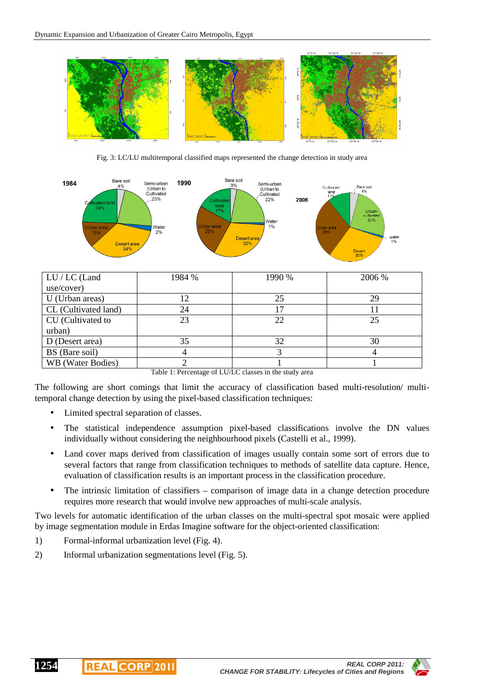

Fig. 3: LC/LU multitemporal classified maps represented the change detection in study area



| LU / LC (Land        | 1984 % | 1990 % | 2006 % |
|----------------------|--------|--------|--------|
| use/cover)           |        |        |        |
| U (Urban areas)      | 12     | 25     | 29     |
| CL (Cultivated land) | 24     |        |        |
| CU (Cultivated to    | 23     | 22     | 25     |
| urban)               |        |        |        |
| D (Desert area)      | 35     | 32     | 30     |
| BS (Bare soil)       |        |        |        |
| WB (Water Bodies)    |        |        |        |

Table 1: Percentage of LU/LC classes in the study area

The following are short comings that limit the accuracy of classification based multi-resolution/ multitemporal change detection by using the pixel-based classification techniques:

- Limited spectral separation of classes.
- The statistical independence assumption pixel-based classifications involve the DN values individually without considering the neighbourhood pixels (Castelli et al., 1999).
- Land cover maps derived from classification of images usually contain some sort of errors due to several factors that range from classification techniques to methods of satellite data capture. Hence, evaluation of classification results is an important process in the classification procedure.
- The intrinsic limitation of classifiers comparison of image data in a change detection procedure requires more research that would involve new approaches of multi-scale analysis.

Two levels for automatic identification of the urban classes on the multi-spectral spot mosaic were applied by image segmentation module in Erdas Imagine software for the object-oriented classification:

- 1) Formal-informal urbanization level (Fig. 4).
- 2) Informal urbanization segmentations level (Fig. 5).

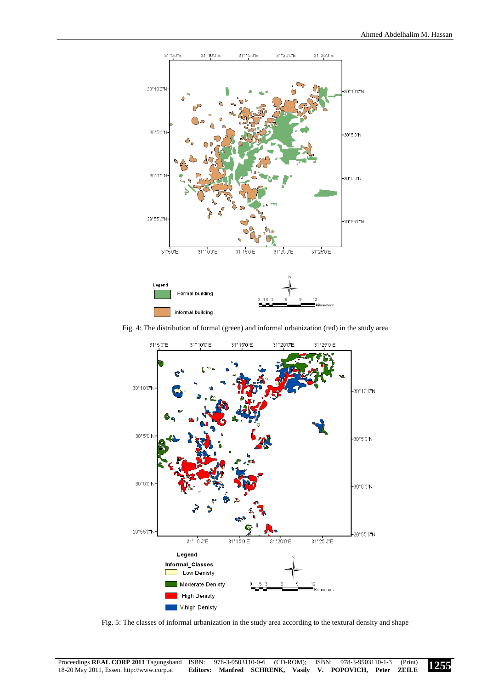

Fig. 4: The distribution of formal (green) and informal urbanization (red) in the study area



Fig. 5: The classes of informal urbanization in the study area according to the textural density and shape